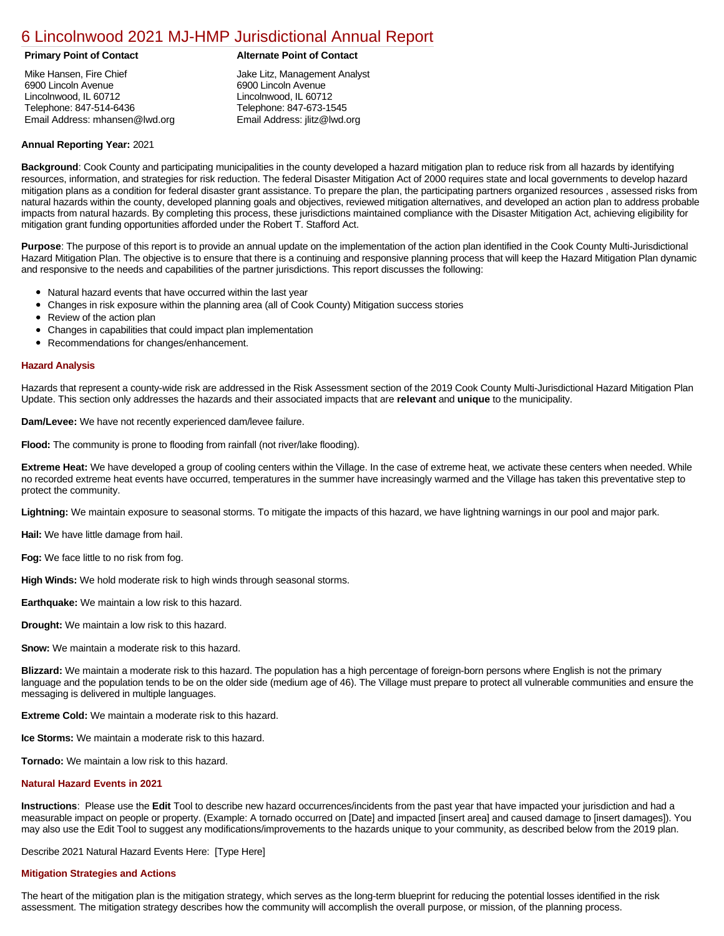## [6 Lincolnwood 2021 MJ-HMP Jurisdictional Annual Report](https://lincolnwood.isc-cemp.com/Cemp/Details?id=8322790)

Mike Hansen, Fire Chief 6900 Lincoln Avenue Lincolnwood, IL 60712 Telephone: 847-514-6436 Email Address: mhansen@lwd.org

### **Primary Point of Contact Alternate Point of Contact**

Jake Litz, Management Analyst 6900 Lincoln Avenue Lincolnwood, IL 60712 Telephone: 847-673-1545 Email Address: jlitz@lwd.org

#### **Annual Reporting Year:** 2021

**Background**: Cook County and participating municipalities in the county developed a hazard mitigation plan to reduce risk from all hazards by identifying resources, information, and strategies for risk reduction. The federal Disaster Mitigation Act of 2000 requires state and local governments to develop hazard mitigation plans as a condition for federal disaster grant assistance. To prepare the plan, the participating partners organized resources , assessed risks from natural hazards within the county, developed planning goals and objectives, reviewed mitigation alternatives, and developed an action plan to address probable impacts from natural hazards. By completing this process, these jurisdictions maintained compliance with the Disaster Mitigation Act, achieving eligibility for mitigation grant funding opportunities afforded under the Robert T. Stafford Act.

**Purpose**: The purpose of this report is to provide an annual update on the implementation of the action plan identified in the Cook County Multi-Jurisdictional Hazard Mitigation Plan. The objective is to ensure that there is a continuing and responsive planning process that will keep the Hazard Mitigation Plan dynamic and responsive to the needs and capabilities of the partner jurisdictions. This report discusses the following:

- Natural hazard events that have occurred within the last year
- $\bullet$ Changes in risk exposure within the planning area (all of Cook County) Mitigation success stories
- Review of the action plan  $\bullet$
- $\bullet$ Changes in capabilities that could impact plan implementation
- Recommendations for changes/enhancement.  $\bullet$

#### **Hazard Analysis**

Hazards that represent a county-wide risk are addressed in the Risk Assessment section of the 2019 Cook County Multi-Jurisdictional Hazard Mitigation Plan Update. This section only addresses the hazards and their associated impacts that are **relevant** and **unique** to the municipality.

**Dam/Levee:** We have not recently experienced dam/levee failure.

**Flood:** The community is prone to flooding from rainfall (not river/lake flooding).

**Extreme Heat:** We have developed a group of cooling centers within the Village. In the case of extreme heat, we activate these centers when needed. While no recorded extreme heat events have occurred, temperatures in the summer have increasingly warmed and the Village has taken this preventative step to protect the community.

**Lightning:** We maintain exposure to seasonal storms. To mitigate the impacts of this hazard, we have lightning warnings in our pool and major park.

**Hail:** We have little damage from hail.

**Fog:** We face little to no risk from fog.

**High Winds:** We hold moderate risk to high winds through seasonal storms.

**Earthquake:** We maintain a low risk to this hazard.

**Drought:** We maintain a low risk to this hazard.

**Snow:** We maintain a moderate risk to this hazard.

**Blizzard:** We maintain a moderate risk to this hazard. The population has a high percentage of foreign-born persons where English is not the primary language and the population tends to be on the older side (medium age of 46). The Village must prepare to protect all vulnerable communities and ensure the messaging is delivered in multiple languages.

**Extreme Cold:** We maintain a moderate risk to this hazard.

**Ice Storms:** We maintain a moderate risk to this hazard.

**Tornado:** We maintain a low risk to this hazard.

#### **Natural Hazard Events in 2021**

**Instructions**: Please use the **Edit** Tool to describe new hazard occurrences/incidents from the past year that have impacted your jurisdiction and had a measurable impact on people or property. (Example: A tornado occurred on [Date] and impacted [insert area] and caused damage to [insert damages]). You may also use the Edit Tool to suggest any modifications/improvements to the hazards unique to your community, as described below from the 2019 plan.

Describe 2021 Natural Hazard Events Here: [Type Here]

#### **Mitigation Strategies and Actions**

The heart of the mitigation plan is the mitigation strategy, which serves as the long-term blueprint for reducing the potential losses identified in the risk assessment. The mitigation strategy describes how the community will accomplish the overall purpose, or mission, of the planning process.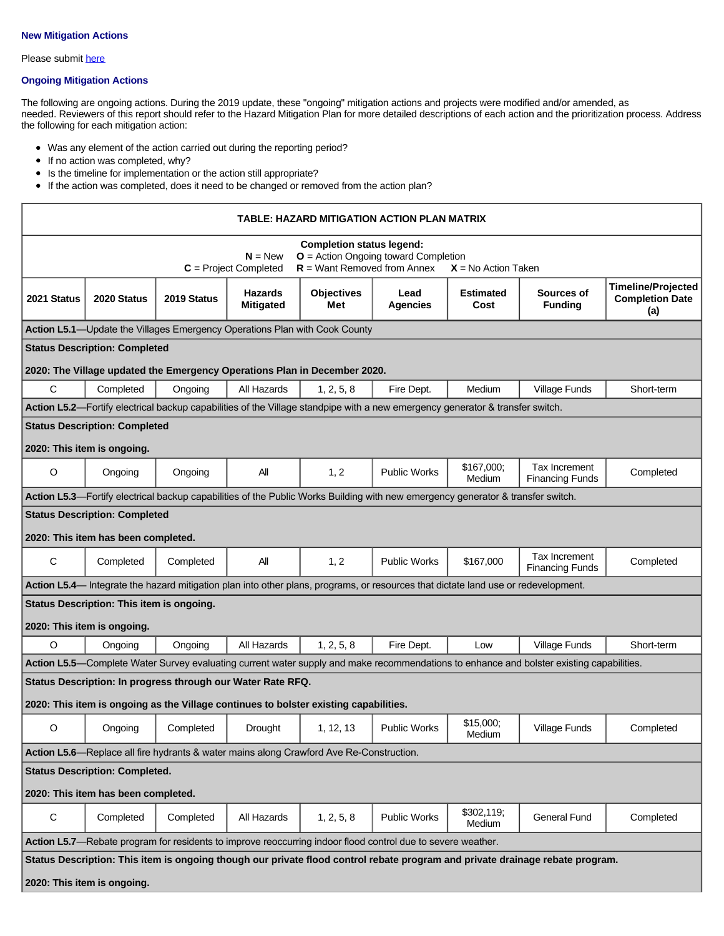### **New Mitigation Actions**

Please submit [here](https://integratedsolutions.wufoo.com/forms/mg21jvf0jn639o/)

#### **Ongoing Mitigation Actions**

The following are ongoing actions. During the 2019 update, these "ongoing" mitigation actions and projects were modified and/or amended, as needed. Reviewers of this report should refer to the Hazard Mitigation Plan for more detailed descriptions of each action and the prioritization process. Address the following for each mitigation action:

- Was any element of the action carried out during the reporting period?
- If no action was completed, why?
- $\bullet$ Is the timeline for implementation or the action still appropriate?
- If the action was completed, does it need to be changed or removed from the action plan?

| TABLE: HAZARD MITIGATION ACTION PLAN MATRIX                                                                                                                                  |                                           |                                                             |                                    |                                                                                       |                                                                                                                                    |                          |                                         |                                                            |
|------------------------------------------------------------------------------------------------------------------------------------------------------------------------------|-------------------------------------------|-------------------------------------------------------------|------------------------------------|---------------------------------------------------------------------------------------|------------------------------------------------------------------------------------------------------------------------------------|--------------------------|-----------------------------------------|------------------------------------------------------------|
| <b>Completion status legend:</b><br>$N = New$<br>$O =$ Action Ongoing toward Completion<br>$R =$ Want Removed from Annex<br>$C = Project Completed$<br>$X = No$ Action Taken |                                           |                                                             |                                    |                                                                                       |                                                                                                                                    |                          |                                         |                                                            |
| 2021 Status                                                                                                                                                                  | 2020 Status                               | 2019 Status                                                 | <b>Hazards</b><br><b>Mitigated</b> | <b>Objectives</b><br>Met                                                              | Lead<br>Agencies                                                                                                                   | <b>Estimated</b><br>Cost | Sources of<br><b>Funding</b>            | <b>Timeline/Projected</b><br><b>Completion Date</b><br>(a) |
|                                                                                                                                                                              |                                           |                                                             |                                    | Action L5.1—Update the Villages Emergency Operations Plan with Cook County            |                                                                                                                                    |                          |                                         |                                                            |
|                                                                                                                                                                              | <b>Status Description: Completed</b>      |                                                             |                                    |                                                                                       |                                                                                                                                    |                          |                                         |                                                            |
|                                                                                                                                                                              |                                           |                                                             |                                    | 2020: The Village updated the Emergency Operations Plan in December 2020.             |                                                                                                                                    |                          |                                         |                                                            |
| C                                                                                                                                                                            | Completed                                 | Ongoing                                                     | All Hazards                        | 1, 2, 5, 8                                                                            | Fire Dept.                                                                                                                         | Medium                   | Village Funds                           | Short-term                                                 |
|                                                                                                                                                                              |                                           |                                                             |                                    |                                                                                       | Action L5.2—Fortify electrical backup capabilities of the Village standpipe with a new emergency generator & transfer switch.      |                          |                                         |                                                            |
|                                                                                                                                                                              | <b>Status Description: Completed</b>      |                                                             |                                    |                                                                                       |                                                                                                                                    |                          |                                         |                                                            |
|                                                                                                                                                                              | 2020: This item is ongoing.               |                                                             |                                    |                                                                                       |                                                                                                                                    |                          |                                         |                                                            |
| O                                                                                                                                                                            | Ongoing                                   | Ongoing                                                     | All                                | 1, 2                                                                                  | <b>Public Works</b>                                                                                                                | \$167,000;<br>Medium     | Tax Increment<br><b>Financing Funds</b> | Completed                                                  |
|                                                                                                                                                                              |                                           |                                                             |                                    |                                                                                       | Action L5.3-Fortify electrical backup capabilities of the Public Works Building with new emergency generator & transfer switch.    |                          |                                         |                                                            |
|                                                                                                                                                                              | <b>Status Description: Completed</b>      |                                                             |                                    |                                                                                       |                                                                                                                                    |                          |                                         |                                                            |
|                                                                                                                                                                              | 2020: This item has been completed.       |                                                             |                                    |                                                                                       |                                                                                                                                    |                          |                                         |                                                            |
| C                                                                                                                                                                            | Completed                                 | Completed                                                   | All                                | 1, 2                                                                                  | <b>Public Works</b>                                                                                                                | \$167,000                | Tax Increment<br><b>Financing Funds</b> | Completed                                                  |
|                                                                                                                                                                              |                                           |                                                             |                                    |                                                                                       | Action L5.4— Integrate the hazard mitigation plan into other plans, programs, or resources that dictate land use or redevelopment. |                          |                                         |                                                            |
|                                                                                                                                                                              | Status Description: This item is ongoing. |                                                             |                                    |                                                                                       |                                                                                                                                    |                          |                                         |                                                            |
|                                                                                                                                                                              | 2020: This item is ongoing.               |                                                             |                                    |                                                                                       |                                                                                                                                    |                          |                                         |                                                            |
| $\circ$                                                                                                                                                                      | Ongoing                                   | Ongoing                                                     | All Hazards                        | 1, 2, 5, 8                                                                            | Fire Dept.                                                                                                                         | Low                      | Village Funds                           | Short-term                                                 |
| Action L5.5—Complete Water Survey evaluating current water supply and make recommendations to enhance and bolster existing capabilities.                                     |                                           |                                                             |                                    |                                                                                       |                                                                                                                                    |                          |                                         |                                                            |
|                                                                                                                                                                              |                                           | Status Description: In progress through our Water Rate RFQ. |                                    |                                                                                       |                                                                                                                                    |                          |                                         |                                                            |
|                                                                                                                                                                              |                                           |                                                             |                                    | 2020: This item is ongoing as the Village continues to bolster existing capabilities. |                                                                                                                                    |                          |                                         |                                                            |
| O                                                                                                                                                                            | Ongoing                                   | Completed                                                   | Drought                            | 1, 12, 13                                                                             | <b>Public Works</b>                                                                                                                | \$15,000;<br>Medium      | <b>Village Funds</b>                    | Completed                                                  |
| Action L5.6—Replace all fire hydrants & water mains along Crawford Ave Re-Construction.                                                                                      |                                           |                                                             |                                    |                                                                                       |                                                                                                                                    |                          |                                         |                                                            |
| <b>Status Description: Completed.</b>                                                                                                                                        |                                           |                                                             |                                    |                                                                                       |                                                                                                                                    |                          |                                         |                                                            |
| 2020: This item has been completed.                                                                                                                                          |                                           |                                                             |                                    |                                                                                       |                                                                                                                                    |                          |                                         |                                                            |
| $\mathsf C$                                                                                                                                                                  | Completed                                 | Completed                                                   | All Hazards                        | 1, 2, 5, 8                                                                            | <b>Public Works</b>                                                                                                                | \$302,119;<br>Medium     | <b>General Fund</b>                     | Completed                                                  |
| Action L5.7—Rebate program for residents to improve reoccurring indoor flood control due to severe weather.                                                                  |                                           |                                                             |                                    |                                                                                       |                                                                                                                                    |                          |                                         |                                                            |
| Status Description: This item is ongoing though our private flood control rebate program and private drainage rebate program.                                                |                                           |                                                             |                                    |                                                                                       |                                                                                                                                    |                          |                                         |                                                            |
| 2020: This item is ongoing.                                                                                                                                                  |                                           |                                                             |                                    |                                                                                       |                                                                                                                                    |                          |                                         |                                                            |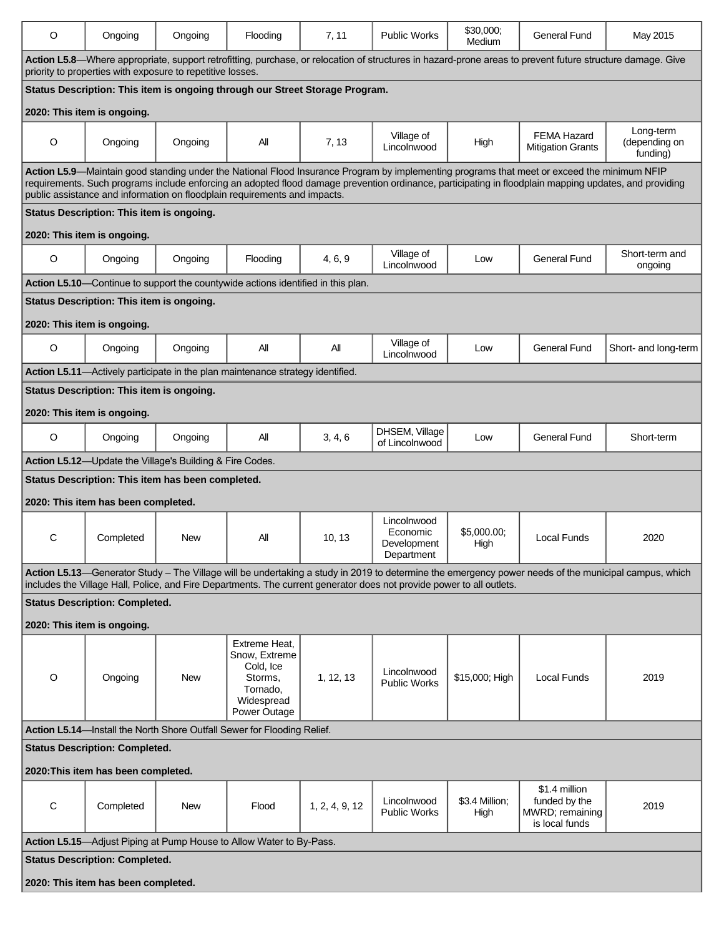| O                                                                                                                                                                                                                                                                             | Ongoing                                           | Ongoing    | Flooding                                                                                         | 7, 11          | <b>Public Works</b>                                  | \$30,000:<br>Medium    | General Fund                                                                                                                                                                                                                                                                                          | May 2015                               |
|-------------------------------------------------------------------------------------------------------------------------------------------------------------------------------------------------------------------------------------------------------------------------------|---------------------------------------------------|------------|--------------------------------------------------------------------------------------------------|----------------|------------------------------------------------------|------------------------|-------------------------------------------------------------------------------------------------------------------------------------------------------------------------------------------------------------------------------------------------------------------------------------------------------|----------------------------------------|
| Action L5.8—Where appropriate, support retrofitting, purchase, or relocation of structures in hazard-prone areas to prevent future structure damage. Give<br>priority to properties with exposure to repetitive losses.                                                       |                                                   |            |                                                                                                  |                |                                                      |                        |                                                                                                                                                                                                                                                                                                       |                                        |
| Status Description: This item is ongoing through our Street Storage Program.                                                                                                                                                                                                  |                                                   |            |                                                                                                  |                |                                                      |                        |                                                                                                                                                                                                                                                                                                       |                                        |
|                                                                                                                                                                                                                                                                               | 2020: This item is ongoing.                       |            |                                                                                                  |                |                                                      |                        |                                                                                                                                                                                                                                                                                                       |                                        |
| O                                                                                                                                                                                                                                                                             | Ongoing                                           | Ongoing    | All                                                                                              | 7, 13          | Village of<br>Lincolnwood                            | High                   | <b>FEMA Hazard</b><br><b>Mitigation Grants</b>                                                                                                                                                                                                                                                        | Long-term<br>(depending on<br>funding) |
|                                                                                                                                                                                                                                                                               |                                                   |            |                                                                                                  |                |                                                      |                        | Action L5.9—Maintain good standing under the National Flood Insurance Program by implementing programs that meet or exceed the minimum NFIP<br>requirements. Such programs include enforcing an adopted flood damage prevention ordinance, participating in floodplain mapping updates, and providing |                                        |
|                                                                                                                                                                                                                                                                               |                                                   |            | public assistance and information on floodplain requirements and impacts.                        |                |                                                      |                        |                                                                                                                                                                                                                                                                                                       |                                        |
|                                                                                                                                                                                                                                                                               | Status Description: This item is ongoing.         |            |                                                                                                  |                |                                                      |                        |                                                                                                                                                                                                                                                                                                       |                                        |
|                                                                                                                                                                                                                                                                               | 2020: This item is ongoing.                       |            |                                                                                                  |                |                                                      |                        |                                                                                                                                                                                                                                                                                                       |                                        |
| $\circ$                                                                                                                                                                                                                                                                       | Ongoing                                           | Ongoing    | Flooding                                                                                         | 4, 6, 9        | Village of<br>Lincolnwood                            | Low                    | General Fund                                                                                                                                                                                                                                                                                          | Short-term and<br>ongoing              |
|                                                                                                                                                                                                                                                                               |                                                   |            | Action L5.10—Continue to support the countywide actions identified in this plan.                 |                |                                                      |                        |                                                                                                                                                                                                                                                                                                       |                                        |
|                                                                                                                                                                                                                                                                               | Status Description: This item is ongoing.         |            |                                                                                                  |                |                                                      |                        |                                                                                                                                                                                                                                                                                                       |                                        |
|                                                                                                                                                                                                                                                                               | 2020: This item is ongoing.                       |            |                                                                                                  |                |                                                      |                        |                                                                                                                                                                                                                                                                                                       |                                        |
| O                                                                                                                                                                                                                                                                             | Ongoing                                           | Ongoing    | All                                                                                              | Αll            | Village of<br>Lincolnwood                            | Low                    | General Fund                                                                                                                                                                                                                                                                                          | Short- and long-term                   |
|                                                                                                                                                                                                                                                                               |                                                   |            | Action L5.11-Actively participate in the plan maintenance strategy identified.                   |                |                                                      |                        |                                                                                                                                                                                                                                                                                                       |                                        |
|                                                                                                                                                                                                                                                                               | Status Description: This item is ongoing.         |            |                                                                                                  |                |                                                      |                        |                                                                                                                                                                                                                                                                                                       |                                        |
|                                                                                                                                                                                                                                                                               | 2020: This item is ongoing.                       |            |                                                                                                  |                |                                                      |                        |                                                                                                                                                                                                                                                                                                       |                                        |
| O                                                                                                                                                                                                                                                                             | Ongoing                                           | Ongoing    | All                                                                                              | 3, 4, 6        | DHSEM, Village<br>of Lincolnwood                     | Low                    | General Fund                                                                                                                                                                                                                                                                                          | Short-term                             |
| Action L5.12-Update the Village's Building & Fire Codes.                                                                                                                                                                                                                      |                                                   |            |                                                                                                  |                |                                                      |                        |                                                                                                                                                                                                                                                                                                       |                                        |
|                                                                                                                                                                                                                                                                               | Status Description: This item has been completed. |            |                                                                                                  |                |                                                      |                        |                                                                                                                                                                                                                                                                                                       |                                        |
| 2020: This item has been completed.                                                                                                                                                                                                                                           |                                                   |            |                                                                                                  |                |                                                      |                        |                                                                                                                                                                                                                                                                                                       |                                        |
| С                                                                                                                                                                                                                                                                             | Completed                                         | New        | All                                                                                              | 10, 13         | Lincolnwood<br>Economic<br>Development<br>Department | \$5,000.00;<br>High    | Local Funds                                                                                                                                                                                                                                                                                           | 2020                                   |
| Action L5.13—Generator Study - The Village will be undertaking a study in 2019 to determine the emergency power needs of the municipal campus, which<br>includes the Village Hall, Police, and Fire Departments. The current generator does not provide power to all outlets. |                                                   |            |                                                                                                  |                |                                                      |                        |                                                                                                                                                                                                                                                                                                       |                                        |
|                                                                                                                                                                                                                                                                               | <b>Status Description: Completed.</b>             |            |                                                                                                  |                |                                                      |                        |                                                                                                                                                                                                                                                                                                       |                                        |
|                                                                                                                                                                                                                                                                               | 2020: This item is ongoing.                       |            |                                                                                                  |                |                                                      |                        |                                                                                                                                                                                                                                                                                                       |                                        |
| O                                                                                                                                                                                                                                                                             | Ongoing                                           | <b>New</b> | Extreme Heat.<br>Snow, Extreme<br>Cold, Ice<br>Storms.<br>Tornado.<br>Widespread<br>Power Outage | 1, 12, 13      | Lincolnwood<br><b>Public Works</b>                   | \$15,000; High         | Local Funds                                                                                                                                                                                                                                                                                           | 2019                                   |
| Action L5.14-Install the North Shore Outfall Sewer for Flooding Relief.                                                                                                                                                                                                       |                                                   |            |                                                                                                  |                |                                                      |                        |                                                                                                                                                                                                                                                                                                       |                                        |
| <b>Status Description: Completed.</b>                                                                                                                                                                                                                                         |                                                   |            |                                                                                                  |                |                                                      |                        |                                                                                                                                                                                                                                                                                                       |                                        |
| 2020: This item has been completed.                                                                                                                                                                                                                                           |                                                   |            |                                                                                                  |                |                                                      |                        |                                                                                                                                                                                                                                                                                                       |                                        |
| С                                                                                                                                                                                                                                                                             | Completed                                         | New        | Flood                                                                                            | 1, 2, 4, 9, 12 | Lincolnwood<br><b>Public Works</b>                   | \$3.4 Million;<br>High | \$1.4 million<br>funded by the<br>MWRD; remaining<br>is local funds                                                                                                                                                                                                                                   | 2019                                   |
|                                                                                                                                                                                                                                                                               |                                                   |            | Action L5.15-Adjust Piping at Pump House to Allow Water to By-Pass.                              |                |                                                      |                        |                                                                                                                                                                                                                                                                                                       |                                        |
|                                                                                                                                                                                                                                                                               | <b>Status Description: Completed.</b>             |            |                                                                                                  |                |                                                      |                        |                                                                                                                                                                                                                                                                                                       |                                        |
| 2020: This item has been completed.                                                                                                                                                                                                                                           |                                                   |            |                                                                                                  |                |                                                      |                        |                                                                                                                                                                                                                                                                                                       |                                        |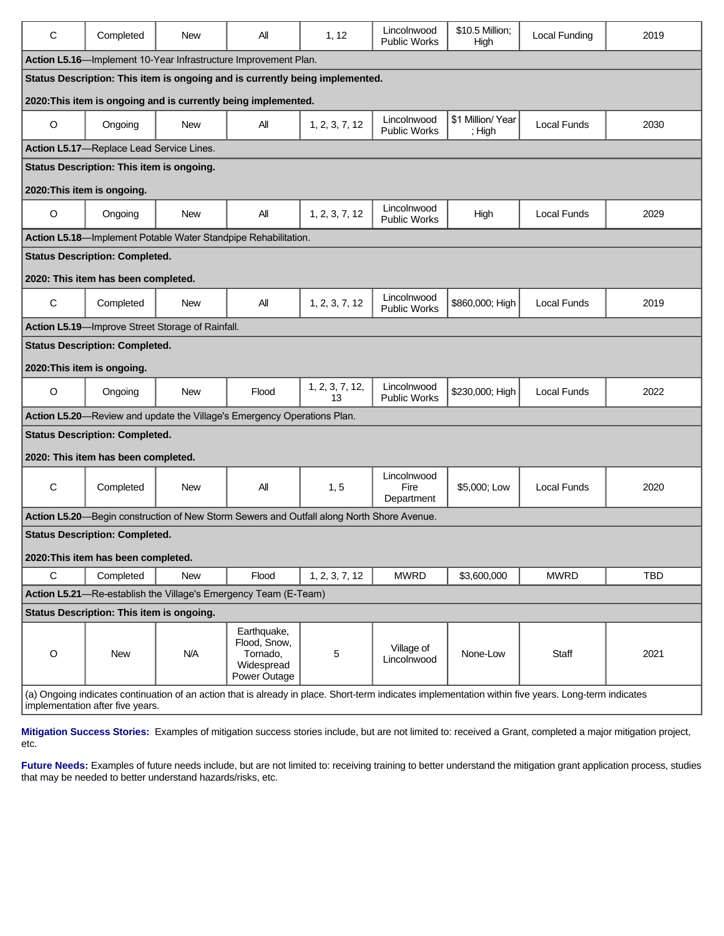| C                                                                                                                                                                                        | Completed                                        | <b>New</b> | All                                                                                       | 1, 12                 | Lincolnwood<br><b>Public Works</b> | \$10.5 Million;<br>High    | Local Funding      | 2019       |
|------------------------------------------------------------------------------------------------------------------------------------------------------------------------------------------|--------------------------------------------------|------------|-------------------------------------------------------------------------------------------|-----------------------|------------------------------------|----------------------------|--------------------|------------|
| Action L5.16-Implement 10-Year Infrastructure Improvement Plan.                                                                                                                          |                                                  |            |                                                                                           |                       |                                    |                            |                    |            |
|                                                                                                                                                                                          |                                                  |            | Status Description: This item is ongoing and is currently being implemented.              |                       |                                    |                            |                    |            |
|                                                                                                                                                                                          |                                                  |            | 2020: This item is ongoing and is currently being implemented.                            |                       |                                    |                            |                    |            |
| $\circ$                                                                                                                                                                                  | Ongoing                                          | <b>New</b> | All                                                                                       | 1, 2, 3, 7, 12        | Lincolnwood<br><b>Public Works</b> | \$1 Million/Year<br>; High | <b>Local Funds</b> | 2030       |
|                                                                                                                                                                                          | Action L5.17-Replace Lead Service Lines.         |            |                                                                                           |                       |                                    |                            |                    |            |
|                                                                                                                                                                                          | Status Description: This item is ongoing.        |            |                                                                                           |                       |                                    |                            |                    |            |
| 2020: This item is ongoing.                                                                                                                                                              |                                                  |            |                                                                                           |                       |                                    |                            |                    |            |
| $\circ$                                                                                                                                                                                  | Ongoing                                          | New        | All                                                                                       | 1, 2, 3, 7, 12        | Lincolnwood<br><b>Public Works</b> | High                       | <b>Local Funds</b> | 2029       |
|                                                                                                                                                                                          |                                                  |            | Action L5.18-Implement Potable Water Standpipe Rehabilitation.                            |                       |                                    |                            |                    |            |
|                                                                                                                                                                                          | <b>Status Description: Completed.</b>            |            |                                                                                           |                       |                                    |                            |                    |            |
|                                                                                                                                                                                          | 2020: This item has been completed.              |            |                                                                                           |                       |                                    |                            |                    |            |
| C                                                                                                                                                                                        | Completed                                        | <b>New</b> | All                                                                                       | 1, 2, 3, 7, 12        | Lincolnwood<br><b>Public Works</b> | \$860,000; High            | <b>Local Funds</b> | 2019       |
|                                                                                                                                                                                          | Action L5.19-Improve Street Storage of Rainfall. |            |                                                                                           |                       |                                    |                            |                    |            |
|                                                                                                                                                                                          | <b>Status Description: Completed.</b>            |            |                                                                                           |                       |                                    |                            |                    |            |
| 2020: This item is ongoing.                                                                                                                                                              |                                                  |            |                                                                                           |                       |                                    |                            |                    |            |
| O                                                                                                                                                                                        | Ongoing                                          | <b>New</b> | Flood                                                                                     | 1, 2, 3, 7, 12,<br>13 | Lincolnwood<br><b>Public Works</b> | \$230,000; High            | <b>Local Funds</b> | 2022       |
| Action L5.20-Review and update the Village's Emergency Operations Plan.                                                                                                                  |                                                  |            |                                                                                           |                       |                                    |                            |                    |            |
| <b>Status Description: Completed.</b>                                                                                                                                                    |                                                  |            |                                                                                           |                       |                                    |                            |                    |            |
| 2020: This item has been completed.                                                                                                                                                      |                                                  |            |                                                                                           |                       |                                    |                            |                    |            |
|                                                                                                                                                                                          |                                                  |            |                                                                                           |                       | Lincolnwood                        |                            |                    |            |
| $\mathbf C$                                                                                                                                                                              | Completed                                        | <b>New</b> | All                                                                                       | 1, 5                  | Fire<br>Department                 | \$5,000; Low               | <b>Local Funds</b> | 2020       |
|                                                                                                                                                                                          |                                                  |            | Action L5.20—Begin construction of New Storm Sewers and Outfall along North Shore Avenue. |                       |                                    |                            |                    |            |
|                                                                                                                                                                                          | <b>Status Description: Completed.</b>            |            |                                                                                           |                       |                                    |                            |                    |            |
| 2020: This item has been completed.                                                                                                                                                      |                                                  |            |                                                                                           |                       |                                    |                            |                    |            |
| C                                                                                                                                                                                        | Completed                                        | <b>New</b> | Flood                                                                                     | 1, 2, 3, 7, 12        | <b>MWRD</b>                        | \$3,600,000                | <b>MWRD</b>        | <b>TBD</b> |
| Action L5.21-Re-establish the Village's Emergency Team (E-Team)                                                                                                                          |                                                  |            |                                                                                           |                       |                                    |                            |                    |            |
| Status Description: This item is ongoing.                                                                                                                                                |                                                  |            |                                                                                           |                       |                                    |                            |                    |            |
| $\mathsf O$                                                                                                                                                                              | New                                              | N/A        | Earthquake,<br>Flood, Snow,<br>Tornado,<br>Widespread<br>Power Outage                     | 5                     | Village of<br>Lincolnwood          | None-Low                   | Staff              | 2021       |
| (a) Ongoing indicates continuation of an action that is already in place. Short-term indicates implementation within five years. Long-term indicates<br>implementation after five years. |                                                  |            |                                                                                           |                       |                                    |                            |                    |            |

**Mitigation Success Stories:** Examples of mitigation success stories include, but are not limited to: received a Grant, completed a major mitigation project, etc.

Future Needs: Examples of future needs include, but are not limited to: receiving training to better understand the mitigation grant application process, studies that may be needed to better understand hazards/risks, etc.